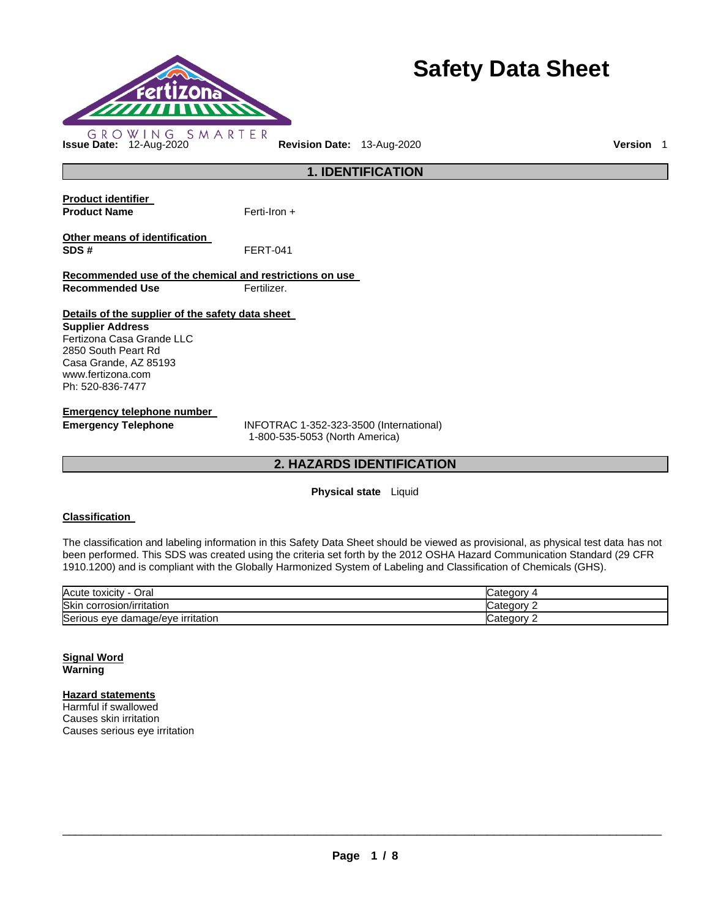

# **Safety Data Sheet**

**Product identifier Product Name Other means of identification SDS #** FERT-041 **Recommended use of the chemical and restrictions on use Recommended Use Fertilizer. Details of the supplier of the safety data sheet Supplier Address** Fertizona Casa Grande LLC 2850 South Peart Rd Casa Grande, AZ 85193 www.fertizona.com Ph: 520-836-7477 Ferti-Iron +

**Emergency telephone number** 

**Emergency Telephone** INFOTRAC 1-352-323-3500 (International) 1-800-535-5053 (North America)

# **2. HAZARDS IDENTIFICATION**

**1. IDENTIFICATION** 

#### **Physical state** Liquid

#### **Classification**

The classification and labeling information in this Safety Data Sheet should be viewed as provisional, as physical test data has not been performed. This SDS was created using the criteria set forth by the 2012 OSHA Hazard Communication Standard (29 CFR 1910.1200) and is compliant with the Globally Harmonized System of Labeling and Classification of Chemicals (GHS).

| Acute toxicity<br>Oral  |                        |
|-------------------------|------------------------|
| Skir                    | `atenony               |
| corrosion/irritation    | valt                   |
| Serious eye             | `ate∩∩nv               |
| damage/eve irritation • | odl <del>c</del> yor - |

#### **Signal Word Warning**

# **Hazard statements**

Harmful if swallowed Causes skin irritation Causes serious eye irritation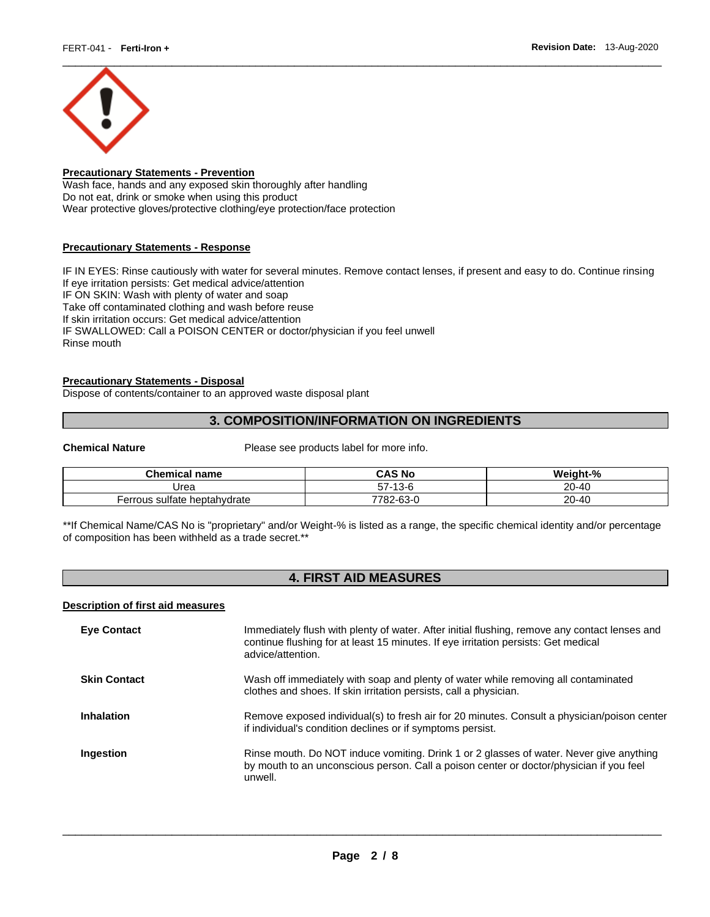

# **Precautionary Statements - Prevention**

Wash face, hands and any exposed skin thoroughly after handling Do not eat, drink or smoke when using this product Wear protective gloves/protective clothing/eye protection/face protection

# **Precautionary Statements - Response**

IF IN EYES: Rinse cautiously with water for several minutes. Remove contact lenses, if present and easy to do. Continue rinsing If eye irritation persists: Get medical advice/attention IF ON SKIN: Wash with plenty of water and soap Take off contaminated clothing and wash before reuse If skin irritation occurs: Get medical advice/attention IF SWALLOWED: Call a POISON CENTER or doctor/physician if you feel unwell Rinse mouth

# **Precautionary Statements - Disposal**

Dispose of contents/container to an approved waste disposal plant

# **3. COMPOSITION/INFORMATION ON INGREDIENTS**

**Chemical Nature** Please see products label for more info.

| <b>Chemical name</b>         | CAS No               | Weight-%  |
|------------------------------|----------------------|-----------|
| Jrea                         | -7<br>-13-6<br>- 1 c | $20 - 40$ |
| Ferrous sulfate heptahydrate | 782-63-0<br>7700     | $20 - 40$ |

\*\*If Chemical Name/CAS No is "proprietary" and/or Weight-% is listed as a range, the specific chemical identity and/or percentage of composition has been withheld as a trade secret.\*\*

# **4. FIRST AID MEASURES**

#### **Description of first aid measures**

| <b>Eye Contact</b>  | Immediately flush with plenty of water. After initial flushing, remove any contact lenses and<br>continue flushing for at least 15 minutes. If eye irritation persists: Get medical<br>advice/attention. |
|---------------------|----------------------------------------------------------------------------------------------------------------------------------------------------------------------------------------------------------|
| <b>Skin Contact</b> | Wash off immediately with soap and plenty of water while removing all contaminated<br>clothes and shoes. If skin irritation persists, call a physician.                                                  |
| <b>Inhalation</b>   | Remove exposed individual(s) to fresh air for 20 minutes. Consult a physician/poison center<br>if individual's condition declines or if symptoms persist.                                                |
| Ingestion           | Rinse mouth. Do NOT induce vomiting. Drink 1 or 2 glasses of water. Never give anything<br>by mouth to an unconscious person. Call a poison center or doctor/physician if you feel<br>unwell.            |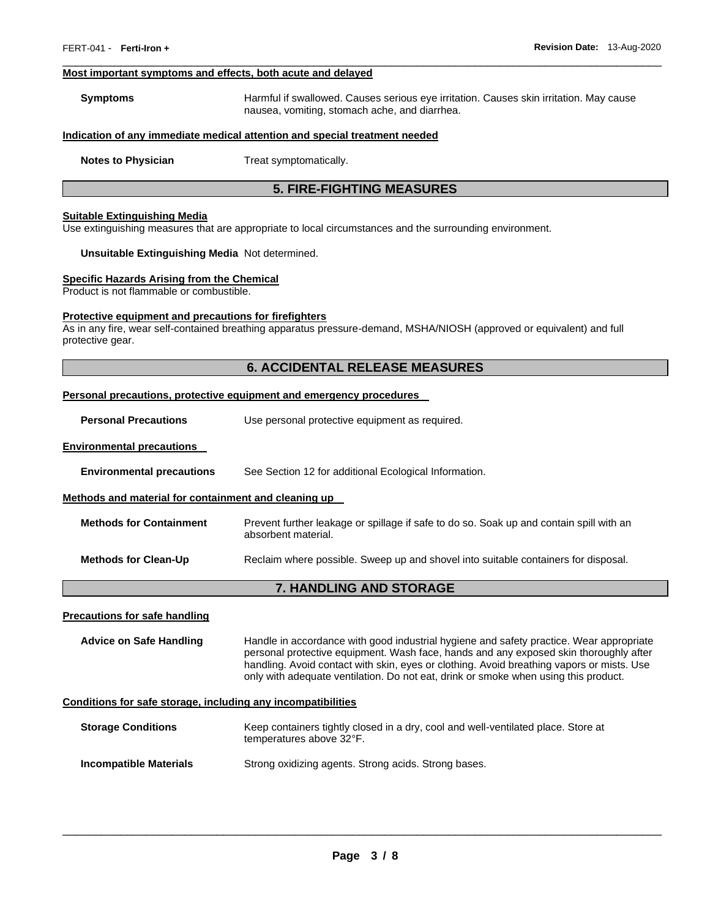#### **Most important symptoms and effects, both acute and delayed**

| Symptoms | Harmful if swallowed. Causes serious eye irritation. Causes skin irritation. May cause |
|----------|----------------------------------------------------------------------------------------|
|          | nausea, vomiting, stomach ache, and diarrhea.                                          |

 $\Box$ 

#### **Indication of any immediate medical attention and special treatment needed**

**Notes to Physician**  Treat symptomatically.

# **5. FIRE-FIGHTING MEASURES**

#### **Suitable Extinguishing Media**

Use extinguishing measures that are appropriate to local circumstances and the surrounding environment.

#### **Unsuitable Extinguishing Media** Not determined.

#### **Specific Hazards Arising from the Chemical**

Product is not flammable or combustible.

#### **Protective equipment and precautions for firefighters**

As in any fire, wear self-contained breathing apparatus pressure-demand, MSHA/NIOSH (approved or equivalent) and full protective gear.

# **6. ACCIDENTAL RELEASE MEASURES**

#### **Personal precautions, protective equipment and emergency procedures**

**Personal Precautions Use personal protective equipment as required.** 

#### **Environmental precautions**

**Environmental precautions** See Section 12 for additional Ecological Information.

#### **Methods and material for containment and cleaning up**

| <b>Methods for Containment</b> | Prevent further leakage or spillage if safe to do so. Soak up and contain spill with an |
|--------------------------------|-----------------------------------------------------------------------------------------|
|                                | absorbent material.                                                                     |

**Methods for Clean-Up** Reclaim where possible. Sweep up and shovel into suitable containers for disposal.

# **7. HANDLING AND STORAGE**

#### **Precautions for safe handling**

**Advice on Safe Handling** Handle in accordance with good industrial hygiene and safety practice. Wear appropriate personal protective equipment. Wash face, hands and any exposed skin thoroughly after handling. Avoid contact with skin, eyes or clothing. Avoid breathing vapors or mists. Use only with adequate ventilation. Do not eat, drink or smoke when using this product.

#### **Conditions for safe storage, including any incompatibilities**

| <b>Storage Conditions</b>     | Keep containers tightly closed in a dry, cool and well-ventilated place. Store at<br>temperatures above 32°F. |
|-------------------------------|---------------------------------------------------------------------------------------------------------------|
| <b>Incompatible Materials</b> | Strong oxidizing agents. Strong acids. Strong bases.                                                          |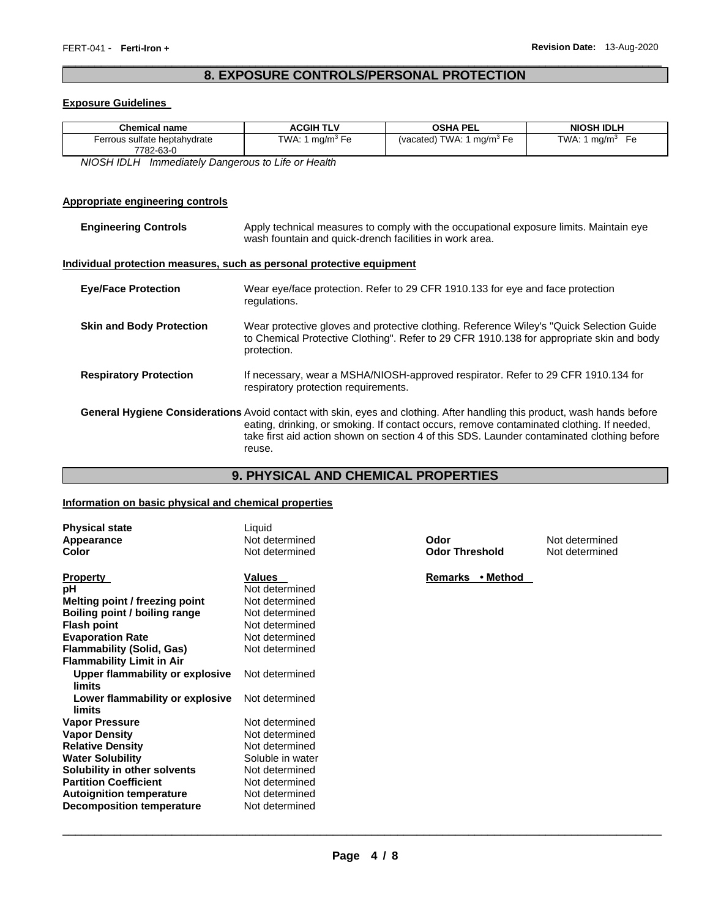# **8. EXPOSURE CONTROLS/PERSONAL PROTECTION**   $\Box$

### **Exposure Guidelines**

| Chemical name                | <b>ACGIH TLV</b>            | <b>OSHA PEL</b>                       | <b>NIOSH IDLH</b>     |
|------------------------------|-----------------------------|---------------------------------------|-----------------------|
| Ferrous sulfate heptahydrate | TWA: 1 mg/m <sup>3</sup> Fe | (vacated) TWA: 1 mg/m <sup>3</sup> Fe | TWA: 1 mg/m $3$<br>Fe |
| 7782-63-0                    |                             |                                       |                       |

*NIOSH IDLH Immediately Dangerous to Life or Health* 

# **Appropriate engineering controls**

| <b>Engineering Controls</b>     | Apply technical measures to comply with the occupational exposure limits. Maintain eye<br>wash fountain and quick-drench facilities in work area.                                                                                                                                                                                     |  |
|---------------------------------|---------------------------------------------------------------------------------------------------------------------------------------------------------------------------------------------------------------------------------------------------------------------------------------------------------------------------------------|--|
|                                 | Individual protection measures, such as personal protective equipment                                                                                                                                                                                                                                                                 |  |
| <b>Eye/Face Protection</b>      | Wear eye/face protection. Refer to 29 CFR 1910.133 for eye and face protection<br>regulations.                                                                                                                                                                                                                                        |  |
| <b>Skin and Body Protection</b> | Wear protective gloves and protective clothing. Reference Wiley's "Quick Selection Guide"<br>to Chemical Protective Clothing". Refer to 29 CFR 1910.138 for appropriate skin and body<br>protection.                                                                                                                                  |  |
| <b>Respiratory Protection</b>   | If necessary, wear a MSHA/NIOSH-approved respirator. Refer to 29 CFR 1910.134 for<br>respiratory protection requirements.                                                                                                                                                                                                             |  |
|                                 | <b>General Hygiene Considerations</b> Avoid contact with skin, eyes and clothing. After handling this product, wash hands before<br>eating, drinking, or smoking. If contact occurs, remove contaminated clothing. If needed,<br>take first aid action shown on section 4 of this SDS. Launder contaminated clothing before<br>reuse. |  |

# **9. PHYSICAL AND CHEMICAL PROPERTIES**

# **Information on basic physical and chemical properties**

| <b>Physical state</b><br>Appearance<br>Color     | Liquid<br>Not determined<br>Not determined | Odor<br><b>Odor Threshold</b> | Not determined<br>Not determined |
|--------------------------------------------------|--------------------------------------------|-------------------------------|----------------------------------|
| <b>Property</b>                                  | Values                                     | Remarks<br>• Method           |                                  |
| рH                                               | Not determined                             |                               |                                  |
| Melting point / freezing point                   | Not determined                             |                               |                                  |
| Boiling point / boiling range                    | Not determined                             |                               |                                  |
| <b>Flash point</b>                               | Not determined                             |                               |                                  |
| <b>Evaporation Rate</b>                          | Not determined                             |                               |                                  |
| <b>Flammability (Solid, Gas)</b>                 | Not determined                             |                               |                                  |
| <b>Flammability Limit in Air</b>                 |                                            |                               |                                  |
| Upper flammability or explosive<br><b>limits</b> | Not determined                             |                               |                                  |
| Lower flammability or explosive<br>limits        | Not determined                             |                               |                                  |
| <b>Vapor Pressure</b>                            | Not determined                             |                               |                                  |
| <b>Vapor Density</b>                             | Not determined                             |                               |                                  |
| <b>Relative Density</b>                          | Not determined                             |                               |                                  |
| <b>Water Solubility</b>                          | Soluble in water                           |                               |                                  |
| Solubility in other solvents                     | Not determined                             |                               |                                  |
| <b>Partition Coefficient</b>                     | Not determined                             |                               |                                  |
| <b>Autoignition temperature</b>                  | Not determined                             |                               |                                  |
| <b>Decomposition temperature</b>                 | Not determined                             |                               |                                  |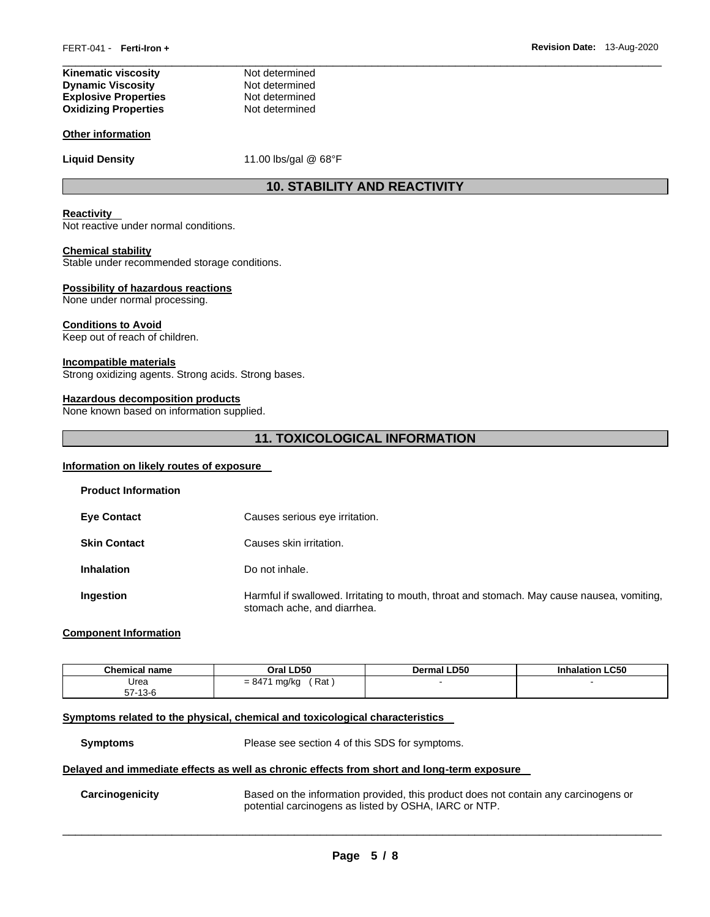| Kinematic viscosity         | Not determined |
|-----------------------------|----------------|
| <b>Dynamic Viscosity</b>    | Not determined |
| <b>Explosive Properties</b> | Not determined |
| <b>Oxidizing Properties</b> | Not determined |

#### **Other information**

Liquid Density **11.00 lbs/gal @ 68°F** 

# **10. STABILITY AND REACTIVITY**

 $\Box$ 

#### **Reactivity**

Not reactive under normal conditions.

#### **Chemical stability**

Stable under recommended storage conditions.

#### **Possibility of hazardous reactions**

None under normal processing.

#### **Conditions to Avoid**

Keep out of reach of children.

#### **Incompatible materials**

Strong oxidizing agents. Strong acids. Strong bases.

#### **Hazardous decomposition products**

None known based on information supplied.

# **11. TOXICOLOGICAL INFORMATION**

#### **Information on likely routes of exposure**

| <b>Product Information</b> |                                                                                                                           |
|----------------------------|---------------------------------------------------------------------------------------------------------------------------|
| <b>Eye Contact</b>         | Causes serious eye irritation.                                                                                            |
| <b>Skin Contact</b>        | Causes skin irritation.                                                                                                   |
| <b>Inhalation</b>          | Do not inhale.                                                                                                            |
| <b>Ingestion</b>           | Harmful if swallowed. Irritating to mouth, throat and stomach. May cause nausea, vomiting,<br>stomach ache, and diarrhea. |

#### **Component Information**

| <b>Chemical name</b>        | <b>LD50</b><br>Oral .    | <b>Dermal LD50</b> | halation LC50 |
|-----------------------------|--------------------------|--------------------|---------------|
| Urea<br>-7<br>-13-6<br>- וכ | Rat<br>$= 8474$<br>mg/kg |                    |               |

#### **Symptoms related to the physical, chemical and toxicological characteristics**

**Symptoms** Please see section 4 of this SDS for symptoms.

#### **Delayed and immediate effects as well as chronic effects from short and long-term exposure**

**Carcinogenicity** Based on the information provided, this product does not contain any carcinogens or potential carcinogens as listed by OSHA, IARC or NTP.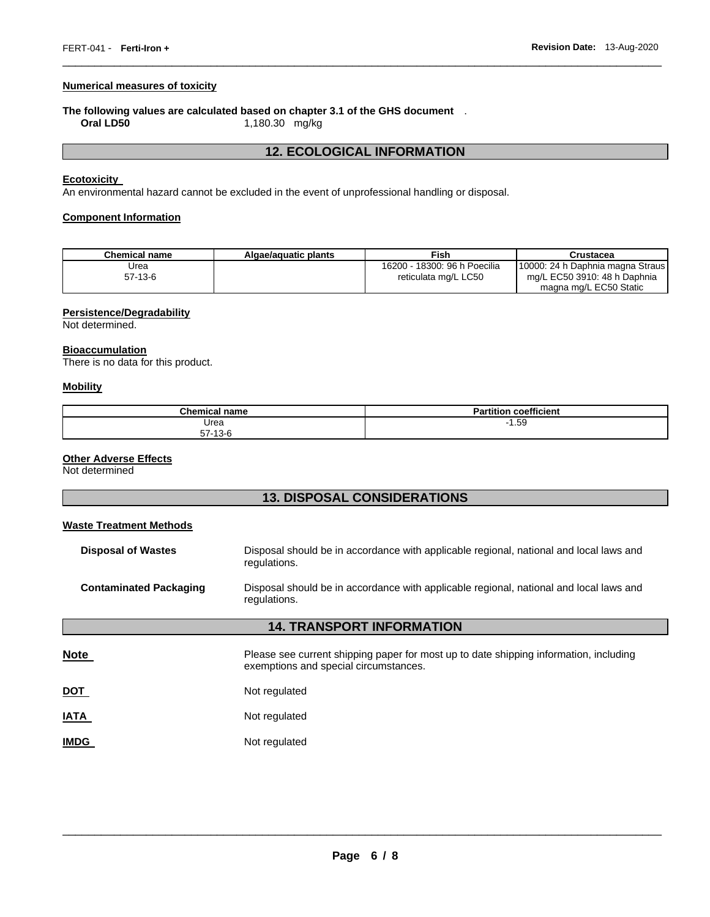# **Numerical measures of toxicity**

# **The following values are calculated based on chapter 3.1 of the GHS document** .

**Oral LD50** 1,180.30 mg/kg

# **12. ECOLOGICAL INFORMATION**

 $\Box$ 

#### **Ecotoxicity**

An environmental hazard cannot be excluded in the event of unprofessional handling or disposal.

# **Component Information**

| <b>Chemical name</b> | Algae/aquatic plants | Fish                                                 | Crustacea                                                                                  |
|----------------------|----------------------|------------------------------------------------------|--------------------------------------------------------------------------------------------|
| Jrea<br>$57-13-6$    |                      | 16200 - 18300: 96 h Poecilia<br>reticulata mg/L LC50 | 10000: 24 h Daphnia magna Straus<br>mg/L EC50 3910: 48 h Daphnia<br>magna mg/L EC50 Static |

# **Persistence/Degradability**

Not determined.

# **Bioaccumulation**

There is no data for this product.

#### **Mobility**

| Chemical.<br>I name           | $-$<br>.<br>Partition<br>coefficient |
|-------------------------------|--------------------------------------|
| Urea                          | $-1.59$<br>. .                       |
| $-7$<br>$\sqrt{2}$<br>57-13-6 |                                      |

# **Other Adverse Effects**

Not determined

| <b>13. DISPOSAL CONSIDERATIONS</b> |                                                                                                                                |  |  |  |
|------------------------------------|--------------------------------------------------------------------------------------------------------------------------------|--|--|--|
| <b>Waste Treatment Methods</b>     |                                                                                                                                |  |  |  |
| <b>Disposal of Wastes</b>          | Disposal should be in accordance with applicable regional, national and local laws and<br>regulations.                         |  |  |  |
| <b>Contaminated Packaging</b>      | Disposal should be in accordance with applicable regional, national and local laws and<br>regulations.                         |  |  |  |
| <b>14. TRANSPORT INFORMATION</b>   |                                                                                                                                |  |  |  |
| <b>Note</b>                        | Please see current shipping paper for most up to date shipping information, including<br>exemptions and special circumstances. |  |  |  |
| <b>DOT</b>                         | Not regulated                                                                                                                  |  |  |  |
| <b>IATA</b>                        | Not regulated                                                                                                                  |  |  |  |
| <b>IMDG</b>                        | Not regulated                                                                                                                  |  |  |  |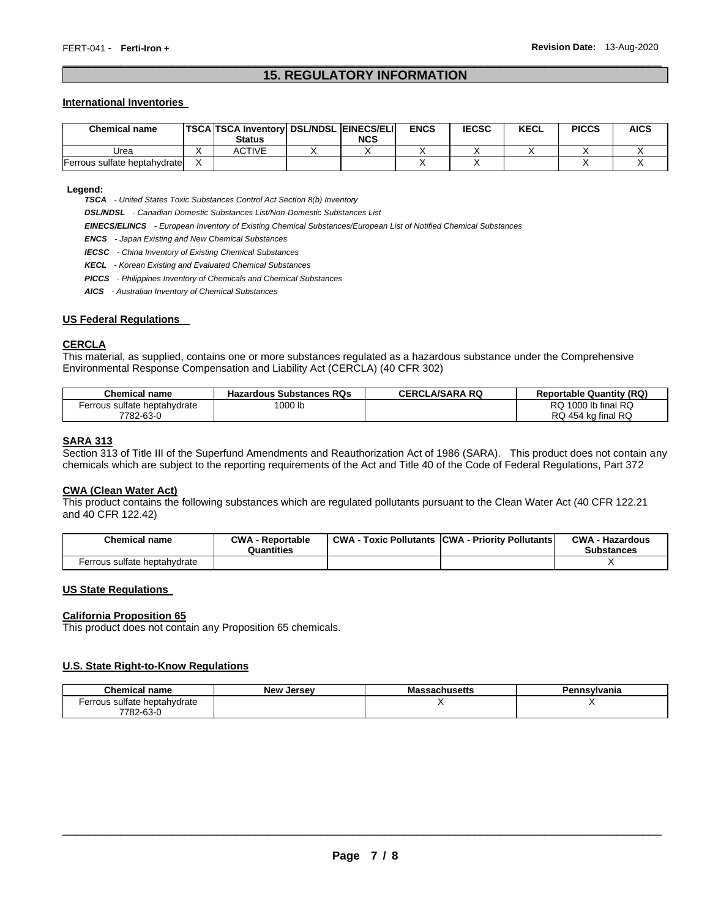# **15. REGULATORY INFORMATION**  $\Box$

#### **International Inventories**

| <b>Chemical name</b>         | <b>TSCA TSCA Inventory DSL/NDSL EINECS/ELI</b><br><b>Status</b> | <b>NCS</b> | <b>ENCS</b> | <b>IECSC</b> | <b>KECL</b> | <b>PICCS</b> | <b>AICS</b> |
|------------------------------|-----------------------------------------------------------------|------------|-------------|--------------|-------------|--------------|-------------|
| Urea                         | ACTIVE                                                          |            |             |              |             |              |             |
| Ferrous sulfate heptahvdrate |                                                                 |            |             |              |             |              |             |

**Legend:** 

*TSCA - United States Toxic Substances Control Act Section 8(b) Inventory* 

*DSL/NDSL - Canadian Domestic Substances List/Non-Domestic Substances List* 

*EINECS/ELINCS - European Inventory of Existing Chemical Substances/European List of Notified Chemical Substances* 

*ENCS - Japan Existing and New Chemical Substances* 

*IECSC - China Inventory of Existing Chemical Substances* 

*KECL - Korean Existing and Evaluated Chemical Substances* 

*PICCS - Philippines Inventory of Chemicals and Chemical Substances* 

*AICS - Australian Inventory of Chemical Substances* 

#### **US Federal Regulations**

#### **CERCLA**

This material, as supplied, contains one or more substances regulated as a hazardous substance under the Comprehensive Environmental Response Compensation and Liability Act (CERCLA) (40 CFR 302)

| <b>Chemical name</b>         | <b>Hazardous Substances RQs</b> | <b>CERCLA/SARA RQ</b> | <b>Reportable Quantity (RQ)</b> |
|------------------------------|---------------------------------|-----------------------|---------------------------------|
| Ferrous sulfate heptahydrate | 1000 lb                         |                       | RQ 1000 lb final RQ             |
| 7782-63-0                    |                                 |                       | RQ 454 kg final RQ              |

#### **SARA 313**

Section 313 of Title III of the Superfund Amendments and Reauthorization Act of 1986 (SARA). This product does not contain any chemicals which are subject to the reporting requirements of the Act and Title 40 of the Code of Federal Regulations, Part 372

#### **CWA (Clean Water Act)**

This product contains the following substances which are regulated pollutants pursuant to the Clean Water Act (40 CFR 122.21 and 40 CFR 122.42)

| <b>Chemical name</b>         | <b>CWA - Reportable</b><br>Quantities | <b>CWA - Toxic Pollutants CWA - Priority Pollutants</b> | <b>CWA - Hazardous</b><br><b>Substances</b> |
|------------------------------|---------------------------------------|---------------------------------------------------------|---------------------------------------------|
| Ferrous sulfate heptahydrate |                                       |                                                         |                                             |

#### **US State Regulations**

#### **California Proposition 65**

This product does not contain any Proposition 65 chemicals.

#### **U.S. State Right-to-Know Regulations**

| <b>Chemical name</b>         | <b>New Jersey</b> | <b>Massachusetts</b> | Pennsylvania |
|------------------------------|-------------------|----------------------|--------------|
| Ferrous sulfate heptahvdrate |                   |                      |              |
| 7782-63-0                    |                   |                      |              |